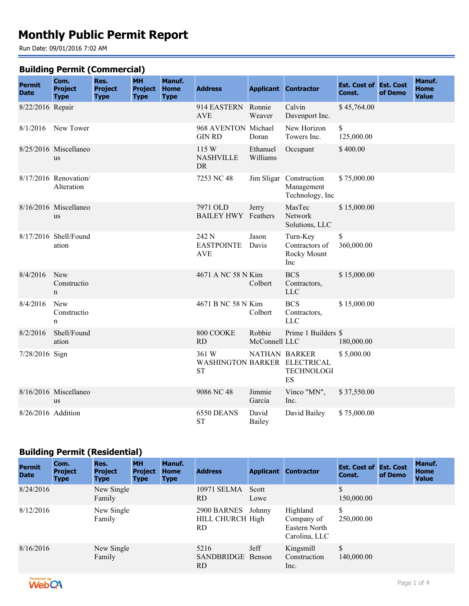# **Monthly Public Permit Report**

Run Date: 09/01/2016 7:02 AM

#### **Building Permit (Commercial)**

| <b>Permit</b><br><b>Date</b> | Com.<br><b>Project</b><br><b>Type</b> | Res.<br><b>Project</b><br><b>Type</b> | <b>MH</b><br><b>Project</b><br><b>Type</b> | Manuf.<br><b>Home</b><br><b>Type</b> | <b>Address</b>                                     |                         | <b>Applicant Contractor</b>                              | <b>Est. Cost of Est. Cost</b><br>Const. | of Demo | Manuf.<br><b>Home</b><br><b>Value</b> |
|------------------------------|---------------------------------------|---------------------------------------|--------------------------------------------|--------------------------------------|----------------------------------------------------|-------------------------|----------------------------------------------------------|-----------------------------------------|---------|---------------------------------------|
| 8/22/2016 Repair             |                                       |                                       |                                            |                                      | 914 EASTERN Ronnie<br><b>AVE</b>                   | Weaver                  | Calvin<br>Davenport Inc.                                 | \$45,764.00                             |         |                                       |
|                              | 8/1/2016 New Tower                    |                                       |                                            |                                      | 968 AVENTON Michael<br><b>GIN RD</b>               | Doran                   | New Horizon<br>Towers Inc.                               | \$<br>125,000.00                        |         |                                       |
|                              | 8/25/2016 Miscellaneo<br><b>us</b>    |                                       |                                            |                                      | 115 W<br><b>NASHVILLE</b><br><b>DR</b>             | Ethanuel<br>Williams    | Occupant                                                 | \$400.00                                |         |                                       |
|                              | 8/17/2016 Renovation/<br>Alteration   |                                       |                                            |                                      | 7253 NC 48                                         |                         | Jim Sligar Construction<br>Management<br>Technology, Inc | \$75,000.00                             |         |                                       |
|                              | 8/16/2016 Miscellaneo<br><b>us</b>    |                                       |                                            |                                      | 7971 OLD<br><b>BAILEY HWY</b> Feathers             | Jerry                   | MasTec<br>Network<br>Solutions, LLC                      | \$15,000.00                             |         |                                       |
|                              | 8/17/2016 Shell/Found<br>ation        |                                       |                                            |                                      | 242 N<br><b>EASTPOINTE</b><br><b>AVE</b>           | Jason<br>Davis          | Turn-Key<br>Contractors of<br>Rocky Mount<br>Inc         | $\mathbb{S}$<br>360,000.00              |         |                                       |
| 8/4/2016                     | New<br>Constructio<br>$\mathbf n$     |                                       |                                            |                                      | 4671 A NC 58 N Kim                                 | Colbert                 | <b>BCS</b><br>Contractors,<br>LLC                        | \$15,000.00                             |         |                                       |
| 8/4/2016                     | New<br>Constructio<br>n               |                                       |                                            |                                      | 4671 B NC 58 N Kim                                 | Colbert                 | <b>BCS</b><br>Contractors,<br><b>LLC</b>                 | \$15,000.00                             |         |                                       |
| 8/2/2016                     | Shell/Found<br>ation                  |                                       |                                            |                                      | 800 COOKE<br><b>RD</b>                             | Robbie<br>McConnell LLC | Prime 1 Builders \$                                      | 180,000.00                              |         |                                       |
| 7/28/2016 Sign               |                                       |                                       |                                            |                                      | 361 W<br>WASHINGTON BARKER ELECTRICAL<br><b>ST</b> | <b>NATHAN BARKER</b>    | <b>TECHNOLOGI</b><br>ES                                  | \$5,000.00                              |         |                                       |
|                              | 8/16/2016 Miscellaneo<br><b>us</b>    |                                       |                                            |                                      | 9086 NC 48                                         | Jimmie<br>Garcia        | Vinco "MN",<br>Inc.                                      | \$37,550.00                             |         |                                       |
| 8/26/2016 Addition           |                                       |                                       |                                            |                                      | 6550 DEANS<br><b>ST</b>                            | David<br>Bailey         | David Bailey                                             | \$75,000.00                             |         |                                       |

## **Building Permit (Residential)**

| <b>Permit</b><br><b>Date</b> | Com.<br><b>Project</b><br><b>Type</b> | Res.<br><b>Project</b><br><b>Type</b> | <b>MH</b><br><b>Project</b><br><b>Type</b> | <b>Manuf.</b><br><b>Home</b><br><b>Type</b> | <b>Address</b>                               | <b>Applicant</b> | <b>Contractor</b>                                        | <b>Est. Cost of Est. Cost</b><br>Const. | of Demo | Manuf.<br>Home<br><b>Value</b> |
|------------------------------|---------------------------------------|---------------------------------------|--------------------------------------------|---------------------------------------------|----------------------------------------------|------------------|----------------------------------------------------------|-----------------------------------------|---------|--------------------------------|
| 8/24/2016                    |                                       | New Single<br>Family                  |                                            |                                             | 10971 SELMA<br>RD.                           | Scott<br>Lowe    |                                                          | \$<br>150,000.00                        |         |                                |
| 8/12/2016                    |                                       | New Single<br>Family                  |                                            |                                             | 2900 BARNES<br><b>HILL CHURCH High</b><br>RD | Johnny           | Highland<br>Company of<br>Eastern North<br>Carolina, LLC | \$<br>250,000.00                        |         |                                |
| 8/16/2016                    |                                       | New Single<br>Family                  |                                            |                                             | 5216<br>SANDBRIDGE Benson<br>RD              | Jeff             | Kingsmill<br>Construction<br>Inc.                        | \$<br>140,000.00                        |         |                                |

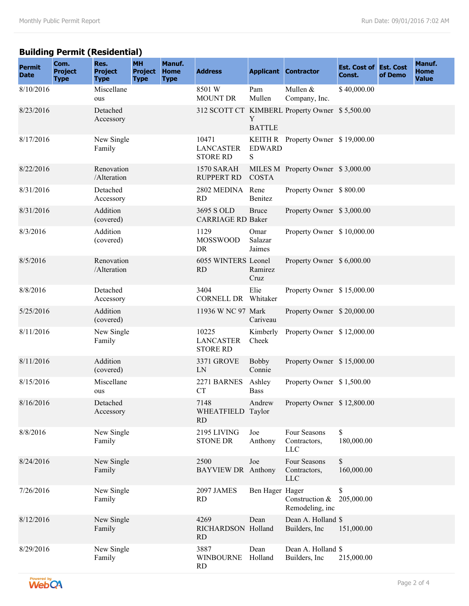## **Building Permit (Residential)**

| <b>Permit</b><br><b>Date</b> | Com.<br><b>Project</b><br><b>Type</b> | Res.<br><b>Project</b><br><b>Type</b> | <b>MH</b><br><b>Project</b><br><b>Type</b> | Manuf.<br><b>Home</b><br><b>Type</b> | <b>Address</b>                               |                           | <b>Applicant Contractor</b>                    | <b>Est. Cost of Est. Cost</b><br>Const. | of Demo | Manuf.<br><b>Home</b><br><b>Value</b> |
|------------------------------|---------------------------------------|---------------------------------------|--------------------------------------------|--------------------------------------|----------------------------------------------|---------------------------|------------------------------------------------|-----------------------------------------|---------|---------------------------------------|
| 8/10/2016                    |                                       | Miscellane<br>ous                     |                                            |                                      | 8501 W<br><b>MOUNT DR</b>                    | Pam<br>Mullen             | Mullen &<br>Company, Inc.                      | \$40,000.00                             |         |                                       |
| 8/23/2016                    |                                       | Detached<br>Accessory                 |                                            |                                      |                                              | Y<br><b>BATTLE</b>        | 312 SCOTT CT KIMBERL Property Owner \$5,500.00 |                                         |         |                                       |
| 8/17/2016                    |                                       | New Single<br>Family                  |                                            |                                      | 10471<br><b>LANCASTER</b><br><b>STORE RD</b> | <b>EDWARD</b><br>S.       | KEITH R Property Owner \$19,000.00             |                                         |         |                                       |
| 8/22/2016                    |                                       | Renovation<br>/Alteration             |                                            |                                      | 1570 SARAH<br><b>RUPPERT RD</b>              | <b>COSTA</b>              | MILES M Property Owner \$3,000.00              |                                         |         |                                       |
| 8/31/2016                    |                                       | Detached<br>Accessory                 |                                            |                                      | 2802 MEDINA<br><b>RD</b>                     | Rene<br>Benitez           | Property Owner \$800.00                        |                                         |         |                                       |
| 8/31/2016                    |                                       | Addition<br>(covered)                 |                                            |                                      | 3695 S OLD<br><b>CARRIAGE RD Baker</b>       | <b>Bruce</b>              | Property Owner \$3,000.00                      |                                         |         |                                       |
| 8/3/2016                     |                                       | Addition<br>(covered)                 |                                            |                                      | 1129<br><b>MOSSWOOD</b><br>DR                | Omar<br>Salazar<br>Jaimes | Property Owner \$10,000.00                     |                                         |         |                                       |
| 8/5/2016                     |                                       | Renovation<br>/Alteration             |                                            |                                      | 6055 WINTERS Leonel<br><b>RD</b>             | Ramirez<br>Cruz           | Property Owner \$ 6,000.00                     |                                         |         |                                       |
| 8/8/2016                     |                                       | Detached<br>Accessory                 |                                            |                                      | 3404<br><b>CORNELL DR</b>                    | Elie<br>Whitaker          | Property Owner \$15,000.00                     |                                         |         |                                       |
| 5/25/2016                    |                                       | Addition<br>(covered)                 |                                            |                                      | 11936 W NC 97 Mark                           | Cariveau                  | Property Owner \$20,000.00                     |                                         |         |                                       |
| 8/11/2016                    |                                       | New Single<br>Family                  |                                            |                                      | 10225<br><b>LANCASTER</b><br><b>STORE RD</b> | Kimberly<br>Cheek         | Property Owner \$12,000.00                     |                                         |         |                                       |
| 8/11/2016                    |                                       | Addition<br>(covered)                 |                                            |                                      | 3371 GROVE<br>LN                             | <b>Bobby</b><br>Connie    | Property Owner \$15,000.00                     |                                         |         |                                       |
| 8/15/2016                    |                                       | Miscellane<br>ous                     |                                            |                                      | 2271 BARNES<br><b>CT</b>                     | Ashley<br><b>Bass</b>     | Property Owner \$1,500.00                      |                                         |         |                                       |
| 8/16/2016                    |                                       | Detached<br>Accessory                 |                                            |                                      | 7148<br>WHEATFIELD Taylor<br><b>RD</b>       | Andrew                    | Property Owner \$12,800.00                     |                                         |         |                                       |
| 8/8/2016                     |                                       | New Single<br>Family                  |                                            |                                      | 2195 LIVING<br><b>STONE DR</b>               | Joe<br>Anthony            | Four Seasons<br>Contractors,<br><b>LLC</b>     | \$<br>180,000.00                        |         |                                       |
| 8/24/2016                    |                                       | New Single<br>Family                  |                                            |                                      | 2500<br><b>BAYVIEW DR</b> Anthony            | Joe                       | Four Seasons<br>Contractors,<br><b>LLC</b>     | $\mathbb S$<br>160,000.00               |         |                                       |
| 7/26/2016                    |                                       | New Single<br>Family                  |                                            |                                      | 2097 JAMES<br><b>RD</b>                      | Ben Hager Hager           | Construction &<br>Remodeling, inc              | \$<br>205,000.00                        |         |                                       |
| 8/12/2016                    |                                       | New Single<br>Family                  |                                            |                                      | 4269<br>RICHARDSON Holland<br><b>RD</b>      | Dean                      | Dean A. Holland \$<br>Builders, Inc.           | 151,000.00                              |         |                                       |
| 8/29/2016                    |                                       | New Single<br>Family                  |                                            |                                      | 3887<br><b>WINBOURNE</b><br>RD               | Dean<br>Holland           | Dean A. Holland \$<br>Builders, Inc.           | 215,000.00                              |         |                                       |

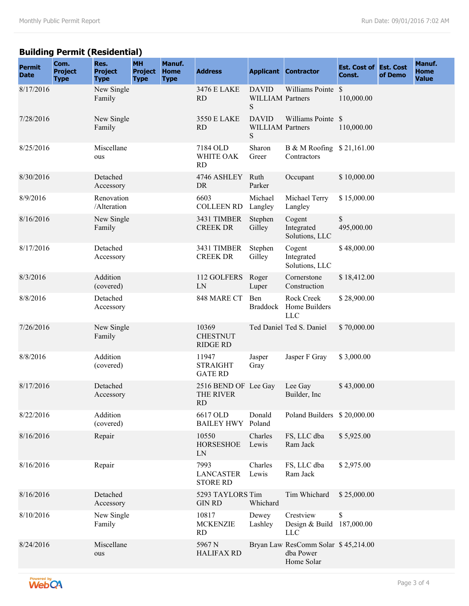## **Building Permit (Residential)**

| <b>Permit</b><br><b>Date</b> | Com.<br><b>Project</b><br><b>Type</b> | Res.<br><b>Project</b><br><b>Type</b> | <b>MH</b><br><b>Project</b><br><b>Type</b> | Manuf.<br><b>Home</b><br><b>Type</b> | <b>Address</b>                                 |                                              | <b>Applicant Contractor</b>                                    | <b>Est. Cost of Est. Cost</b><br>Const. | of Demo | Manuf.<br><b>Home</b><br><b>Value</b> |
|------------------------------|---------------------------------------|---------------------------------------|--------------------------------------------|--------------------------------------|------------------------------------------------|----------------------------------------------|----------------------------------------------------------------|-----------------------------------------|---------|---------------------------------------|
| 8/17/2016                    |                                       | New Single<br>Family                  |                                            |                                      | 3476 E LAKE<br><b>RD</b>                       | <b>DAVID</b><br><b>WILLIAM Partners</b><br>S | Williams Pointe \$                                             | 110,000.00                              |         |                                       |
| 7/28/2016                    |                                       | New Single<br>Family                  |                                            |                                      | 3550 E LAKE<br><b>RD</b>                       | <b>DAVID</b><br><b>WILLIAM Partners</b><br>S | Williams Pointe \$                                             | 110,000.00                              |         |                                       |
| 8/25/2016                    |                                       | Miscellane<br>ous                     |                                            |                                      | 7184 OLD<br>WHITE OAK<br><b>RD</b>             | Sharon<br>Greer                              | B & M Roofing<br>Contractors                                   | \$21,161.00                             |         |                                       |
| 8/30/2016                    |                                       | Detached<br>Accessory                 |                                            |                                      | 4746 ASHLEY<br>DR                              | Ruth<br>Parker                               | Occupant                                                       | \$10,000.00                             |         |                                       |
| 8/9/2016                     |                                       | Renovation<br>/Alteration             |                                            |                                      | 6603<br><b>COLLEEN RD</b>                      | Michael<br>Langley                           | Michael Terry<br>Langley                                       | \$15,000.00                             |         |                                       |
| 8/16/2016                    |                                       | New Single<br>Family                  |                                            |                                      | 3431 TIMBER<br><b>CREEK DR</b>                 | Stephen<br>Gilley                            | Cogent<br>Integrated<br>Solutions, LLC                         | \$<br>495,000.00                        |         |                                       |
| 8/17/2016                    |                                       | Detached<br>Accessory                 |                                            |                                      | 3431 TIMBER<br><b>CREEK DR</b>                 | Stephen<br>Gilley                            | Cogent<br>Integrated<br>Solutions, LLC                         | \$48,000.00                             |         |                                       |
| 8/3/2016                     |                                       | Addition<br>(covered)                 |                                            |                                      | 112 GOLFERS<br>LN                              | Roger<br>Luper                               | Cornerstone<br>Construction                                    | \$18,412.00                             |         |                                       |
| 8/8/2016                     |                                       | Detached<br>Accessory                 |                                            |                                      | 848 MARE CT                                    | Ben<br><b>Braddock</b>                       | Rock Creek<br>Home Builders<br><b>LLC</b>                      | \$28,900.00                             |         |                                       |
| 7/26/2016                    |                                       | New Single<br>Family                  |                                            |                                      | 10369<br><b>CHESTNUT</b><br><b>RIDGE RD</b>    |                                              | Ted Daniel Ted S. Daniel                                       | \$70,000.00                             |         |                                       |
| 8/8/2016                     |                                       | Addition<br>(covered)                 |                                            |                                      | 11947<br><b>STRAIGHT</b><br><b>GATE RD</b>     | Jasper<br>Gray                               | Jasper F Gray                                                  | \$3,000.00                              |         |                                       |
| 8/17/2016                    |                                       | Detached<br>Accessory                 |                                            |                                      | 2516 BEND OF Lee Gay<br>THE RIVER<br><b>RD</b> |                                              | Lee Gay<br>Builder, Inc                                        | \$43,000.00                             |         |                                       |
| 8/22/2016                    |                                       | Addition<br>(covered)                 |                                            |                                      | 6617 OLD<br><b>BAILEY HWY</b>                  | Donald<br>Poland                             | Poland Builders \$20,000.00                                    |                                         |         |                                       |
| 8/16/2016                    |                                       | Repair                                |                                            |                                      | 10550<br><b>HORSESHOE</b><br>LN                | Charles<br>Lewis                             | FS, LLC dba<br>Ram Jack                                        | \$5,925.00                              |         |                                       |
| 8/16/2016                    |                                       | Repair                                |                                            |                                      | 7993<br><b>LANCASTER</b><br><b>STORE RD</b>    | Charles<br>Lewis                             | FS, LLC dba<br>Ram Jack                                        | \$2,975.00                              |         |                                       |
| 8/16/2016                    |                                       | Detached<br>Accessory                 |                                            |                                      | 5293 TAYLORS Tim<br><b>GIN RD</b>              | Whichard                                     | Tim Whichard                                                   | \$25,000.00                             |         |                                       |
| 8/10/2016                    |                                       | New Single<br>Family                  |                                            |                                      | 10817<br><b>MCKENZIE</b><br><b>RD</b>          | Dewey<br>Lashley                             | Crestview<br>Design & Build 187,000.00<br><b>LLC</b>           | \$                                      |         |                                       |
| 8/24/2016                    |                                       | Miscellane<br>ous                     |                                            |                                      | 5967N<br><b>HALIFAX RD</b>                     |                                              | Bryan Law ResComm Solar \$45,214.00<br>dba Power<br>Home Solar |                                         |         |                                       |